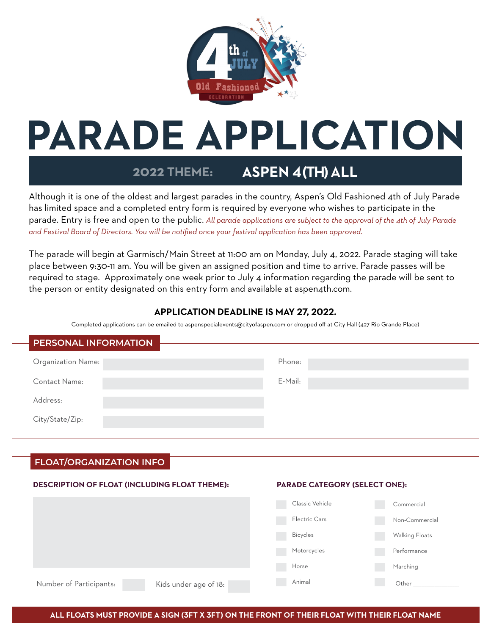

# **PARADE APPLICATION**

#### **2022 THEME: ASPEN 4(TH) ALL**

Although it is one of the oldest and largest parades in the country, Aspen's Old Fashioned 4th of July Parade has limited space and a completed entry form is required by everyone who wishes to participate in the parade. Entry is free and open to the public. *All parade applications are subject to the approval of the 4th of July Parade and Festival Board of Directors. You will be notified once your festival application has been approved.* 

The parade will begin at Garmisch/Main Street at 11:00 am on Monday, July 4, 2022. Parade staging will take place between 9:30-11 am. You will be given an assigned position and time to arrive. Parade passes will be required to stage. Approximately one week prior to July 4 information regarding the parade will be sent to the person or entity designated on this entry form and available at aspen4th.com.

# **APPLICATION DEADLINE IS MAY 27, 2022.**

Completed applications can be emailed to aspenspecialevents@cityofaspen.com or dropped off at City Hall (427 Rio Grande Place)

| <b>PERSONAL INFORMATION</b> |         |
|-----------------------------|---------|
| Organization Name:          | Phone:  |
| Contact Name:               | E-Mail: |
| Address:                    |         |
| City/State/Zip:             |         |

# **FLOAT/ORGANIZATION INFO**

#### **DESCRIPTION OF FLOAT (INCLUDING FLOAT THEME):**

#### **PARADE CATEGORY (SELECT ONE):**

|                                                  | Classic Vehicle | Commercial     |
|--------------------------------------------------|-----------------|----------------|
|                                                  | Electric Cars   | Non-Commercial |
|                                                  | <b>Bicycles</b> | Walking Floats |
|                                                  | Motorcycles     | Performance    |
|                                                  | Horse           | Marching       |
| Number of Participants:<br>Kids under age of 18: | Animal          | Other          |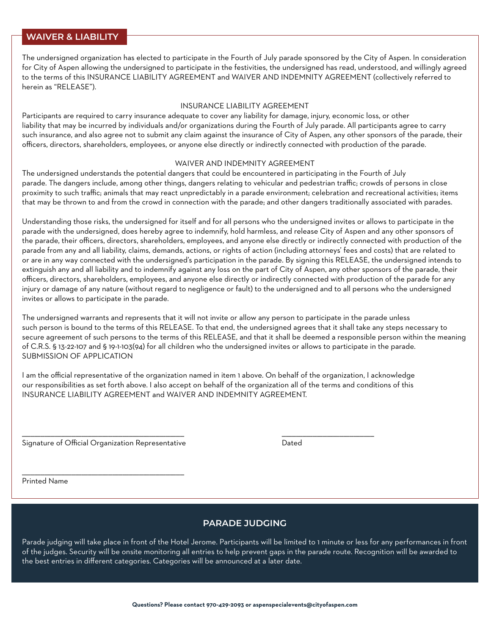#### **WAIVER & LIABILITY**

The undersigned organization has elected to participate in the Fourth of July parade sponsored by the City of Aspen. In consideration for City of Aspen allowing the undersigned to participate in the festivities, the undersigned has read, understood, and willingly agreed to the terms of this INSURANCE LIABILITY AGREEMENT and WAIVER AND INDEMNITY AGREEMENT (collectively referred to herein as "RELEASE").

#### INSURANCE LIABILITY AGREEMENT

Participants are required to carry insurance adequate to cover any liability for damage, injury, economic loss, or other liability that may be incurred by individuals and/or organizations during the Fourth of July parade. All participants agree to carry such insurance, and also agree not to submit any claim against the insurance of City of Aspen, any other sponsors of the parade, their officers, directors, shareholders, employees, or anyone else directly or indirectly connected with production of the parade.

#### WAIVER AND INDEMNITY AGREEMENT

The undersigned understands the potential dangers that could be encountered in participating in the Fourth of July parade. The dangers include, among other things, dangers relating to vehicular and pedestrian traffic; crowds of persons in close proximity to such traffic; animals that may react unpredictably in a parade environment; celebration and recreational activities; items that may be thrown to and from the crowd in connection with the parade; and other dangers traditionally associated with parades.

Understanding those risks, the undersigned for itself and for all persons who the undersigned invites or allows to participate in the parade with the undersigned, does hereby agree to indemnify, hold harmless, and release City of Aspen and any other sponsors of the parade, their officers, directors, shareholders, employees, and anyone else directly or indirectly connected with production of the parade from any and all liability, claims, demands, actions, or rights of action (including attorneys' fees and costs) that are related to or are in any way connected with the undersigned's participation in the parade. By signing this RELEASE, the undersigned intends to extinguish any and all liability and to indemnify against any loss on the part of City of Aspen, any other sponsors of the parade, their officers, directors, shareholders, employees, and anyone else directly or indirectly connected with production of the parade for any injury or damage of any nature (without regard to negligence or fault) to the undersigned and to all persons who the undersigned invites or allows to participate in the parade.

The undersigned warrants and represents that it will not invite or allow any person to participate in the parade unless such person is bound to the terms of this RELEASE. To that end, the undersigned agrees that it shall take any steps necessary to secure agreement of such persons to the terms of this RELEASE, and that it shall be deemed a responsible person within the meaning of C.R.S. § 13-22-107 and § 19-1-103(94) for all children who the undersigned invites or allows to participate in the parade. SUBMISSION OF APPLICATION

I am the official representative of the organization named in item 1 above. On behalf of the organization, I acknowledge our responsibilities as set forth above. I also accept on behalf of the organization all of the terms and conditions of this INSURANCE LIABILITY AGREEMENT and WAIVER AND INDEMNITY AGREEMENT.

\_\_\_\_\_\_\_\_\_\_\_\_\_\_\_\_\_\_\_\_\_\_\_\_\_\_\_\_\_\_\_\_\_\_\_\_\_\_\_\_\_\_\_\_\_\_\_\_\_\_\_\_\_\_\_\_\_\_\_\_\_\_\_\_\_\_\_\_\_\_\_\_\_\_\_\_\_\_\_ \_\_\_\_\_\_\_\_\_\_\_\_\_\_\_\_\_\_\_\_\_\_\_\_\_\_\_\_\_\_\_\_\_\_\_\_\_\_\_\_\_\_\_\_\_

Signature of Official Organization Representative **Dated** Dated

\_\_\_\_\_\_\_\_\_\_\_\_\_\_\_\_\_\_\_\_\_\_\_\_\_\_\_\_\_\_\_\_\_\_\_\_\_\_\_\_\_\_\_\_\_\_\_\_\_\_\_\_\_\_\_\_\_\_\_\_\_\_\_\_\_\_\_\_\_\_\_\_\_\_\_\_\_\_\_

Printed Name

### **PARADE JUDGING**

Parade judging will take place in front of the Hotel Jerome. Participants will be limited to 1 minute or less for any performances in front of the judges. Security will be onsite monitoring all entries to help prevent gaps in the parade route. Recognition will be awarded to the best entries in different categories. Categories will be announced at a later date.